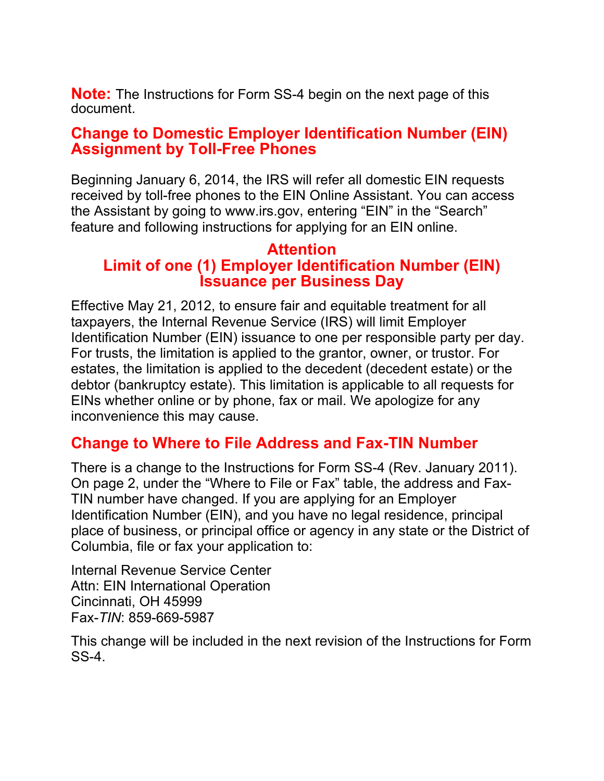**Note:** The Instructions for Form SS-4 begin on the next page of this document.

### **Change to Domestic Employer Identification Number (EIN) Assignment by Toll-Free Phones**

Beginning January 6, 2014, the IRS will refer all domestic EIN requests received by toll-free phones to the EIN Online Assistant. You can access the Assistant by going to www.irs.gov, entering "EIN" in the "Search" feature and following instructions for applying for an EIN online.

### **Attention Limit of one (1) Employer Identification Number (EIN) Issuance per Business Day**

Effective May 21, 2012, to ensure fair and equitable treatment for all taxpayers, the Internal Revenue Service (IRS) will limit Employer Identification Number (EIN) issuance to one per responsible party per day. For trusts, the limitation is applied to the grantor, owner, or trustor. For estates, the limitation is applied to the decedent (decedent estate) or the debtor (bankruptcy estate). This limitation is applicable to all requests for EINs whether online or by phone, fax or mail. We apologize for any inconvenience this may cause.

## **Change to Where to File Address and Fax-TIN Number**

There is a change to the Instructions for Form SS-4 (Rev. January 2011). On page 2, under the "Where to File or Fax" table, the address and Fax-TIN number have changed. If you are applying for an Employer Identification Number (EIN), and you have no legal residence, principal place of business, or principal office or agency in any state or the District of Columbia, file or fax your application to:

Internal Revenue Service Center Attn: EIN International Operation Cincinnati, OH 45999 Fax-*TIN*: 859-669-5987

This change will be included in the next revision of the Instructions for Form SS-4.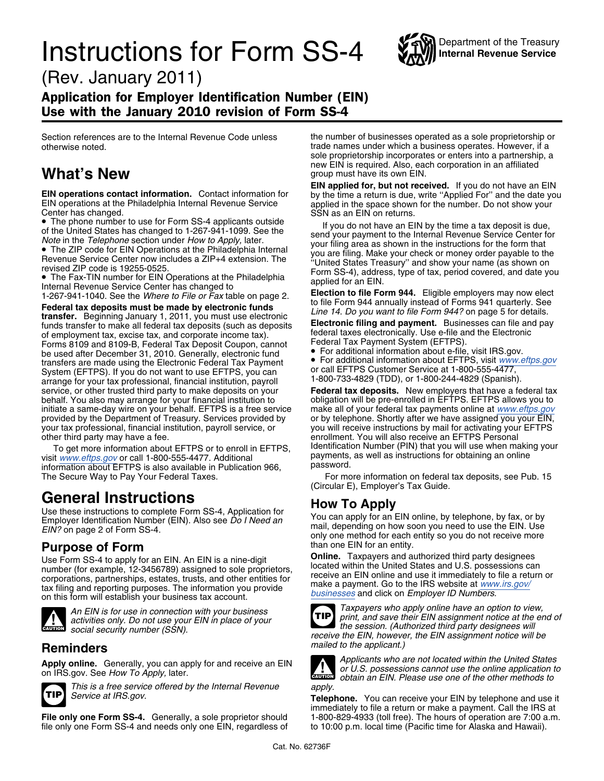# **Instructions for Form SS-4** WAY Internal Revenue Service



(Rev. January 2011)

### Application for Employer Identification Number (EIN) Use with the January 2010 revision of Form SS-4

**EIN operations contact information.** Contact information for by the time a return is due, write "Applied For" and the date your EIN operations at the Philadelphia Internal Revenue Service applied in the space shown for th

• The phone number to use for Form SS-4 applicants outside

• The Fax-TIN number for EIN Operations at the Philadelphia<br>
Internal Revenue Service Center has changed to<br>
1-267-941-1040. See the *Where to File or Fax* table on page 2.<br> **Federal tax deposits must be made by electroni** of employment tax, excise tax, and corporate income tax).<br>Forms 8109 and 8109-B, Federal Tax Deposit Coupon, cannot Federal Tax Payment System (EFTPS). For additional information about e-file, visit IRS.gov.<br>Fransfers are made using the Flectronic Federal Tax Payment • For additional information about EFTPS, visit www.eftps.gov fransfers are made using the Electronic Federal Tax Payment<br>System (EFTPS), If you do not want to use FETPS, you can or call EFTPS Customer Service at 1-800-555-4477, System (EFTPS). If you do not want to use EFTPS, you can or call EFTPS Customer Service at 1-800-555-4477,<br>arrange for your tax professional, financial institution, payroll 1-800-733-4829 (TDD), or 1-800-244-4829 (Spanish) arrange for your tax professional, financial institution, payroll and the USS-4829 (TDD), or 1-800-244-4829 (Spanish).<br>Service, or other trusted third party to make deposits on your **Federal tax deposits.** New employers th service, or other trusted third party to make deposits on your behalf. You also may arrange for your financial institution to initiate a same-day wire on your behalf. EFTPS is a free service make all of your federal tax payments online at *[www.eftps.gov](http://www.eftps.gov/)*<br>provided by the Department of Treasury. Services provided by or by telephone. Shortly after w provided by the Department of Treasury. Services provided by or by telephone. Shortly after we have assigned you your EIN,<br>your tax professional, financial institution, payroll service, or you will receive instructions by your tax professional, financial institution, payroll service, or other third party may have a fee.

To get more information about EFTPS or to enroll in EFTPS, Identification Number (PIN) that you will use when makin<br>it www.eftns.gov.or.call 1-800-555-4477, Additional payments, as well as instructions for obtaining an onl visit <www.eftps.gov> or call 1-800-555-4477. Additional payments,<br>information about EFTPS is also available in Publication 066 password. information about EFTPS is also available in Publication 966,<br>The Secure Way to Pay Your Federal Taxes.

**General Instructions**<br>Use these instructions to complete Form SS-4, Application for<br>Employer Identification Number (EIN). Also see *Do I Need an*<br>EIN? on page 2 of Form SS-4. (EIN). Also see *Do I Need an* and, depending

Use Form SS-4 to apply for an EIN. An EIN is a nine-digit<br>
number (for example, 12-3456789) assigned to sole proprietors,<br>
corporations, partnerships, estates, trusts, and other entities for<br>
tax filing and reporting purpo



*social security number (SSN).*

### *mailed to the applicant.)* **Reminders**



*This is a free service offered by the Internal Revenue apply.*

file only one Form SS-4 and needs only one EIN, regardless of

Section references are to the Internal Revenue Code unless the number of businesses operated as a sole proprietorship or otherwise noted. trade names under which a business operates. However, if a sole proprietorship incorporates or enters into a partnership, a new EIN is required. Also, each corporation in an affiliated **What's New** Given the state of the state of the state of the state of the state of the group must have its own EIN.

**EIN applied for, but not received.** If you do not have an EIN by the time a return is due, write "Applied For" and the date you

• The phone number to use for Form 55-4 applicaties outside<br>
of the United States has changed to 1-267-941-1099. See the<br>
Note in the Telephone section under How to Apply, later.<br>
• The ZIP code for EIN Operations at the P • The ZIP code for EIN Operations at the Philadelphia Internal<br>
Revenue Service Center now includes a ZIP+4 extension. The<br>
revised ZIP code is 19255-0525.<br>
• The Fax-TIN number for EIN Operations at the Philadelphia<br>
• Th

• For additional information about e-file, visit IRS.gov.

obligation will be pre-enrolled in EFTPS. EFTPS allows you to make all of your federal tax payments online at *www.eftps.gov* enrollment. You will also receive an EFTPS Personal<br>Identification Number (PIN) that you will use when making your

For more information on federal tax deposits, see Pub. 15 (Circular E), Employer's Tax Guide.

**Purpose of Form**<br> **Purpose of Form**<br> **Purpose of Form** SS-4 to apply for an EIN An EIN is a nine-digit<br> **Online**. Taxpayers and authorized third party designees



An EIN is for use in connection with your business<br>activities only. Do not use your EIN in place of your<br>social security number (SSN)<br>social security number (SSN) *receive the EIN, however, the EIN assignment notice will be*



Apply online. Generally, you can apply for and receive an EIN Applicants who are not located within the United States<br>on IRS.gov. See How To Apply, later.<br>obtain an EIN. Please use one of the other methods to

**Telephone.** You can receive your EIN by telephone and use it immediately to file a return or make a payment. Call the IRS at **File only one Form SS-4.** Generally, a sole proprietor should 1-800-829-4933 (toll free). The hours of operation are 7:00 a.m.<br>file only one Form SS-4 and needs only one EIN, regardless of to 10:00 p.m. local time (Pacifi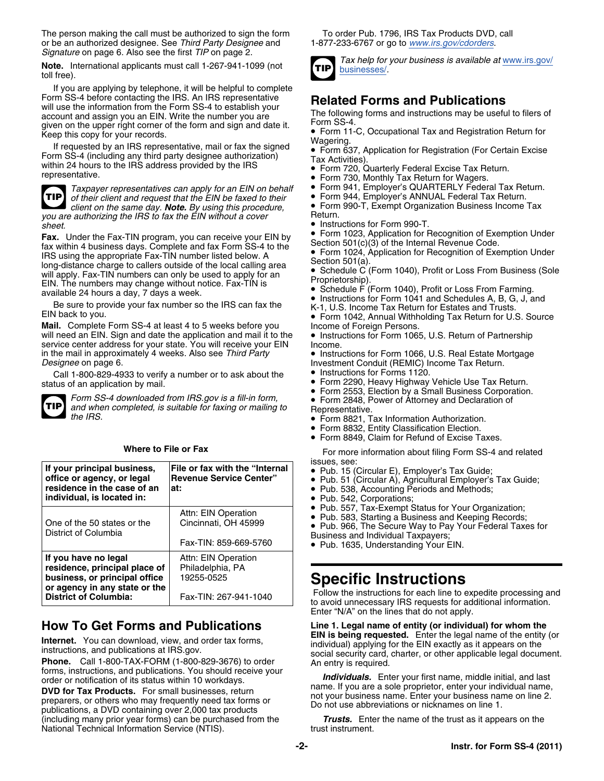The person making the call must be authorized to sign the form To order Pub. 1796, IRS Tax Products DVD, call or be an authorized designee. See Third Party Designee and 1-877-233-6767 or go to www.irs.gov/cdorders. or be an authorized designee. See *Third Party Designee* and *Signature* on page 6. Also see the first *TIP* on page 2.

Note. International applicants must call 1-267-941-1099 (not<br>toll free). The [businesses/](www.irs.gov/businesses/).

If you are applying by telephone, it will be helpful to complete Form SS-4 before contacting the IHS. An IHS representative<br>will use the information from the Form SS-4 to establish your<br>account and assign you an EIN. Write the number you are<br>given on the upper right corner of the form a

For the sep to your reserve.<br>If requested by an IRS representative, mail or fax the signed • Form 637, Application for Registration (For Certain Excise Form SS-4 (including any third party designee authorization)  $\frac{1}{1}$  Tax Activities)<br>within 24 hours to the IRS address provided by the IRS • Form 720, 1<br>• Form 720, 1



*Taxpayer representatives can apply for an EIN on behalf* • Form 941, Employer's QUARTERLY Federal Tax Return. *of their client and request that the EIN be faxed to their client on the same day. Note. By using this procedure,* • Form 990-T, Exempt Organization Business Income Tax you are authorizing the IRS to fax the EIN without a cover

Fax. Under the Fax-TIN program, you can receive your EIN by<br>fax within 4 business days. Complete and fax Form SS-4 to the<br>IBS using the appropriate Eax-TIN pumber listed below  $\Delta$  Form 1024, Application for Recognition o Form 1024, Application for Recognition of Exemption Under Independent Cong-distance charge to callers outside of the local calling area Section 501(a).<br>
will apply Fax-TIN numbers can only be used to apply for an Congress will apply. Fax-TIN numbers can only be used to apply for an **COM** Business From Business From Business From Business From Business (Schedule C).<br>available 24 hours a day, 7 days a week.

Be sure to provide your fax number so the IRS can fax the K-1, U.S. Income Tax Return for Estates and Trusts.<br>EIN back to you. ● Form 1042 Annual Withholding Tax Return for U.

Mail. Complete Form SS-4 at least 4 to 5 weeks before you lncome of Foreign Persons.<br>will need an EIN. Sign and date the application and mail it to the **Intel Act Tort** form 1065, U.S. Return of Partnership will need an EIN. Sign and date the application and mail it to the service center address for your state. You will receive your EIN Income.<br>in the mail in approximately 4 weeks. Also see Third Party • Instru in the mail in approximately 4 weeks. Also see *Third Party* • Instructions for Form 1066, U.S. Real Estate Mortgage *Designee* on page 6. Investment Conduit (REMIC) Income Tax Return.

Call 1-800-829-4933 to verify a number or to ask about the • Instructions for Forms 1120.<br>status of an application by mail. • • Form 2290, Heavy Highway



Form SS-4 downloaded from IRS.gov is a fill-in form,<br>and when completed, is suitable for faxing or mailing to<br>the IRS.<br>**•** Form 8821 Tax Information Authorization

|                                                                                                                                                         |                                                                                | issues, see:                                                                                                                                                                                                                                                                      |
|---------------------------------------------------------------------------------------------------------------------------------------------------------|--------------------------------------------------------------------------------|-----------------------------------------------------------------------------------------------------------------------------------------------------------------------------------------------------------------------------------------------------------------------------------|
| If your principal business,<br>office or agency, or legal<br>residence in the case of an<br>individual, is located in:                                  | File or fax with the "Internal<br><b>Revenue Service Center"</b><br>at:        | $\bullet$ Pub. 15 (Circular E), En<br>$\bullet$ Pub. 51 (Circular A), Ag<br>• Pub. 538, Accounting P<br>• Pub. 542, Corporations:<br>• Pub. 557, Tax-Exempt 9<br>• Pub. 583, Starting a Bus<br>• Pub. 966, The Secure V<br>Business and Individual Ta<br>• Pub. 1635. Understandi |
| One of the 50 states or the<br>District of Columbia                                                                                                     | Attn: EIN Operation<br>Cincinnati, OH 45999<br>Fax-TIN: 859-669-5760           |                                                                                                                                                                                                                                                                                   |
| If you have no legal<br>residence, principal place of<br>business, or principal office<br>or agency in any state or the<br><b>District of Columbia:</b> | Attn: EIN Operation<br>Philadelphia, PA<br>19255-0525<br>Fax-TIN: 267-941-1040 | <b>Specific Instru</b><br>Follow the instructions for<br>to avoid unnecessary IRS                                                                                                                                                                                                 |

(including many prior year forms) can be purchased from the **Trusts.** Enter the name of the trust as it appears on the<br>National Technical Information Service (NTIS). trust instrument. National Technical Information Service (NTIS).



- Form 720, Quarterly Federal Excise Tax Return.
- **Form 730, Monthly Tax Return for Wagers.**<br>• Form 941, Employer's QUARTERLY Federal Tax Return.
- 
- 
- 
- *sheet.* Instructions for Form 990-T.
	- Form 1023, Application for Recognition of Exemption Under
	-
	-
	-
	- Schedule F (Form 1040), Profit or Loss From Farming.<br>• Instructions for Form 1041 and Schedules A, B, G, J, and
	-
	- Form 1042, Annual Withholding Tax Return for U.S. Source
	-
	-
	-
	- Form 2290, Heavy Highway Vehicle Use Tax Return.
	- Form 2553, Election by a Small Business Corporation. *Form SS-4 downloaded from IRS.gov is a fill-in form,* •
		-
		- Form 8821, Tax Information Authorization.
		- Form 8832, Entity Classification Election.
		- Form 8849, Claim for Refund of Excise Taxes.

**Where to File or Fax For more information about filing Form SS-4 and related** 

- 
- **Pub. 15 (Circular E), Employer's Tax Guide;<br>• Pub. 51 (Circular A), Agricultural Employer's Tax Guide; <b>residence** in the case of an
- Pub. 538, Accounting Periods and Methods;
- 
- 
- Pub. 557, Tax-Exempt Status for Your Organization; Attn: EIN Operation •• Pub. 583, Starting a Business and Keeping Records;
	- Pub. 966, The Secure Way to Pay Your Federal Taxes for Business and Individual Taxpayers;
	-
	- Pub. 1635, Understanding Your EIN.

**Specific Instructions**<br>Follow the instructions for each line to expedite processing and<br>to avoid unnecessary IRS requests for additional information. Enter "N/A" on the lines that do not apply.

# **How To Get Forms and Publications Line 1. Legal name of entity (or individual) for whom the**

**Internet.** You can download, view, and order tax forms,<br>
instructions, and publications at IRS.gov.<br> **Phone.** Call 1-800-TAX-FORM (1-800-829-3676) to order<br>
forms, instructions, and publications. You should receive your<br>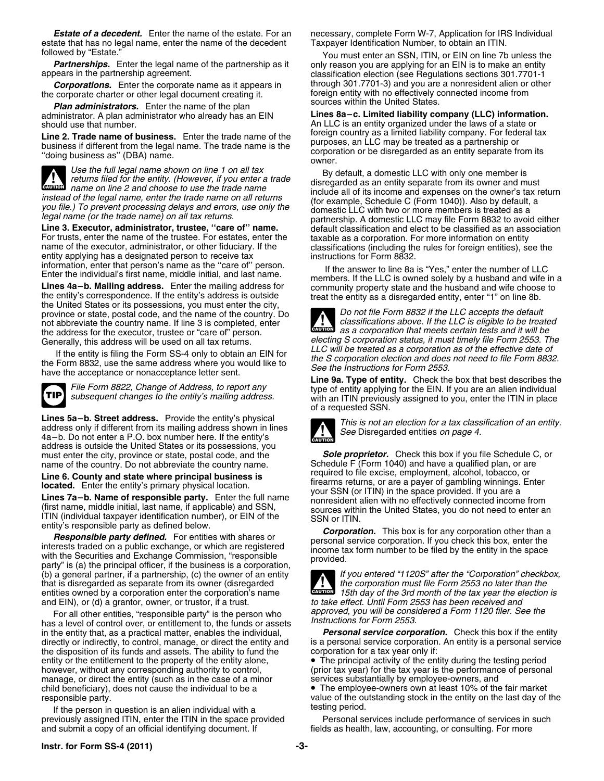estate that has no legal name, enter the name of the decedent Taxpayer Identification Number, to obtain an ITIN.<br>You must enter an SSN, ITIN, or FIN on line 7b

**Partnerships.** Enter the legal name of the partnership as it only reason you are applying for an EIN is to make an entity appears in the partnership agreement.

the corporate charter or other legal document creating it. foreign entity with no effectively connected income from the parties.

**Plan administrators.** Enter the name of the plan

**CAUTION !**

For trusts, enter the name of the trustee. For estates, enter the taxable as a corporation. For more information on entity name of the executor, administrator, or other fiduciary. If the classifications (including the rule entity applying has a designated person to receive tax instructions for Form 8832.

the United States or its possessions, you must enter the city,<br>province or state, postal code, and the name of the country. Do<br>not file Form 8832 if the LLC accepts the default<br>not abbreviate the country name. If line 3 is not abbreviate the country name. If line 3 is completed, enter the address for the executor, trustee or "care of" person.<br>Generally, this address will be used on all tax returns.

If the entity is filing the Form SS-4 only to obtain an EIN for<br>the Scorporation election and does not need to file Form 8832,<br>have the acceptance or nonacceptance letter sent.<br>File Form 8822, Change of Address, to report



Lines 5a-b. Street address. Provide the entity's physical<br>address only if different from its mailing address shown in lines<br>4a-b. Do not enter a P.O. box number here. If the entity's address is outside the United States or its possessions, you must enter the city, province or state, postal code, and the **Sole proprietor.** Check this box if you file Schedule C, or name of the country. Do not abbreviate the country name. Schedule F (Form 1040) and have a qualified

(b) a general partner, if a partnership, (c) the owner of an entity *If you entered "1120S" after the "Corporation" checkbox,* that is disregarded as separate from its owner (disregarded entities owned by a corporation enter the corporation's name *15th day of the 3rd month of the tax year the election is*

For all other entities, "responsible party" is the person who<br>has a level of control over, or entitlement to, the funds or assets<br>in the entity that, as a practical matter, enables the individual,<br>**Personal service corpora** in the entity that, as a practical matter, enables the individual, directly or indirectly, to control, manage, or direct the entity and is a personal service corporation. An entity is a personal service the disposition of its funds and assets. The ability to fund the corporation for a tax year only if: entity or the entitlement to the property of the entity alone, • The principal activity of the entity during the testing period however, without any corresponding authority to control, (prior tax year) for the tax year is the performance of personal manage, or direct the entity (such as in the case of a minor services substantially by employee-owne manage, or direct the entity (such as in the case of a minor child beneficiary), does not cause the individual to be a • The employee-owners own at least 10% of the fair market

If the person in question is an alien individual with a **really interest in the state of the vert** to the period. previously assigned ITIN, enter the ITIN in the space provided Personal services include performance of services in such<br>And submit a copy of an official identifying document. If end a fields as health, law, accounting, or and submit a copy of an official identifying document. If

**Estate of a decedent.** Enter the name of the estate. For an enecessary, complete Form W-7, Application for IRS Individual

owed by "Estate."<br>**Partnerships.** Enter the legal name of the partnership as it youly reason you are applying for an EIN is to make an entity classification election (see Regulations sections 301.7701-1 **Corporations.** Enter the corporate name as it appears in through 301.7701-3) and you are a nonresident alien or other<br>corporate charter or other legal document creating it. The foreign entity with no effectively connected

administrator. A plan administrator who already has an EIN **Lines 8a–c. Limited liability company (LLC) information.** An LLC is an entity organized under the laws of a state or **Line 2. Trade name of business.** Enter the trade name of the foreign country as a limited liability company. For federal tax business if different from the legal name. The trade name is the "doing business as" (DBA) name.

Use the full legal name shown on line 1 on all tax<br>returns filed for the entity. (However, if you enter a trade<br>name on line 2 and choose to use the trade name<br>include all of its income and expenses on the owner's tax retu instead of the legal name, enter the trade name on all returns<br>
you file.) To prevent processing delays and errors, use only the<br>
legal name (or the trade name) on all tax returns.<br>
legal name (or the trade name) on all ta default classification and elect to be classified as an association classifications (including the rules for foreign entities), see the

information, enter that person's name as the "care of" person.<br>
Enter the individual's first name, middle initial, and last name.<br> **Lines 4a-b. Mailing address.** Enter the mailing address for<br>
the entity's correspondence.

*as a corporation that meets certain tests and it will be* **CAUTION !** electing S corporation status, it must timely file Form 2553. The<br>LLC will be treated as a corporation as of the effective date of

*File Form 8822, Change of Address, to report any* type of entity applying for the EIN. If you are an alien individual subsequent changes to the entity's mailing address. with an ITIN previously assigned to you, enter the ITIN in place of a requested SSN.



name of the country. Do not abbreviate the country name.<br>I ine 6 County and state where principal business is required to file excise, employment, alcohol, tobacco, or Line 6. County and state where principal business is<br>
located. Enter the entity's primary physical location.<br>
Lines 7a-b. Name of responsible party. Enter the full name<br>
(first name, middle initial, last name, if applicabl



**CAUTION** and EIN), or (d) a grantor, owner, or trustor, if a trust. *to take effect. Until Form 2553 has been received and*

responsible party. value of the outstanding stock in the entity on the last day of the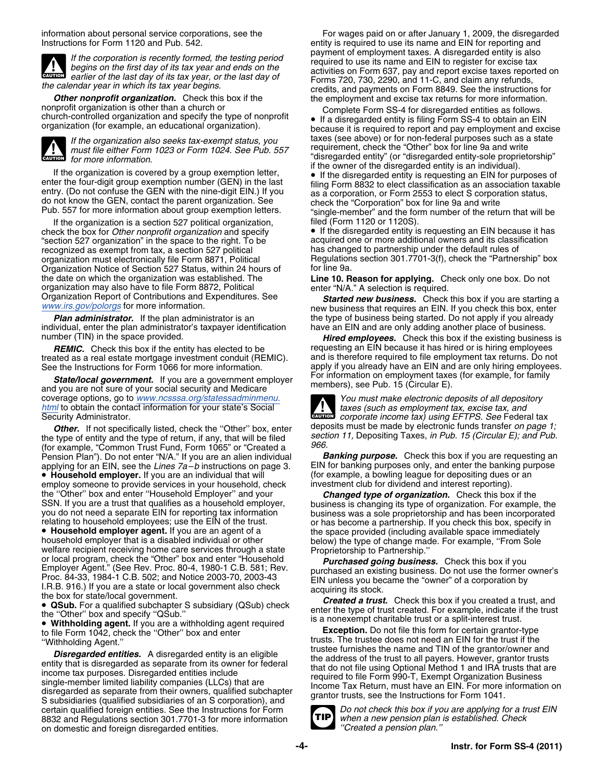

**Other nonprofit organization.** Check this box if the the employment and excise tax returns for more information.<br>Complete Form SS-4 for disregarded entities as follows nonprofit organization is other than a church or<br>church-controlled organization and specify the type of nonprofit • If a disregarded entity is filing Form SS-4 to obtain an EIN<br>organization (for example, an educational org



If the organization is a section 527 political organization, Filed (Form 1120 or 1120S).<br>eck the box for *Other nonprofit organization* and specify **Filt** the disregarded entity is requesting an EIN because it has check the box for *Other nonprofit organization* and specify "section 527 organization" in the space to the right. To be acquired one or more additional owners and its classification<br>recognized as exempt from tax, a section 527 political has changed to partnership under the default recognized as exempt from tax, a section 527 political organization must electronically file Form 8871, Political Organization Notice of Section 527 Status, within 24 hours of the date on which the organization was established. The organization may also have to file Form 8872, Political enter "N/A." A selection is required.<br>Organization Report of Contributions and Expenditures. See Started new business Check

individual, enter the plan administrator's taxpayer identification have an EIN and are only adding another place of business.

treated as a real estate mortgage investment conduit (REMIC).<br>See the Instructions for Form 1066 for more information.

For information on employment taxes (for example, for family *State/local government.* If you are a government employer members), see Pub. 15 (Circular E). and you are not sure of your social security and Medicare coverage options, go to *[www.ncsssa.org/statessadminmenu.](http://www.ncsssa.org/statessadminmenu.html) You must make electronic deposits of all depository [html](http://www.ncsssa.org/statessadminmenu.html)* to obtain the contact information for your state's Social *taxes (such as employment tax, excise tax, and*

Other. If not specifically listed, check the "Other" box, enter<br>the type of entity and the type of return, if any, that will be filed<br>(for example, "Common Trust Fund, Form 1065" or "Created a<br>Pension Plan"). Do not enter Pension Plan"). Do not enter "N/A." If you are an alien individual **Banking purpose.** Check this box if you are requesting an applying for an enter the banking purpose applying for an EIN, see the *Lines 7a–b* instructions on page 3.

employ someone to provide services in your household, check investment club for dividend and interest reporting). the "Other" box and enter "Household Employer" and your **Changed type of organization.** Check this box if the SSN. If you are a trust that qualifies as a household employer, business is changing its type of organization. F

• Household employer agent. If you are an agent of a • Household employer agent. If you are an agent of a<br>
the space provided (including available space immediately<br>
below) the type of change made. For example, "From Sole<br>
welfare recipient receiving home care services throu

 **Withholding agent.** If you are a withholding agent required to file Form 1042, check the ''Other'' box and enter **Exception.** Do not file this form for certain grantor-type

**Disregarded entities.** A disregarded entity is an eligible<br>entity that is disregarded as separate from its owner for federal<br>income tax purposes. Disregarded entities include<br>single-member limited liability companies (LLC certain qualified foreign entities. See the Instructions for Form *Do not check this box if you are applying for a trust EIN* 8832 and Regulations section 301.7701-3 for more information **TIP** when a new pension plan in domestic and foreign disregarded entities. on domestic and foreign disregarded entities.

information about personal service corporations, see the For wages paid on or after January 1, 2009, the disregarded<br>
Instructions for Form 1120 and Pub. 542.<br>
Instructions for Form 1120 and Pub. 542. entity is required to use its name and EIN for reporting and payment of employment taxes. A disregarded entity is also If the corporation is recently formed, the testing period<br>
begins on the first day of its tax year and ends on the<br>
earlier of the last day of its tax year, or the last day of<br>
the calendar year in which its tax year begin Form The calendar year in which its tax year begins.<br>**Other nonprofit organization.** Check this box if the same the employment and excise tax returns for more information.

because it is required to report and pay employment and excise If the organization also seeks tax-exempt status, you taxes (see above) or for non-federal purposes such as a state *must file either Form 1023 or Form 1024. See Pub. 557* requirement, check the "Other" box for line 9a and *must file either Form 1023 or Form 1024. See Pub. 557* requirement, check the "Other" box for line 9a and write "disregarded entity" (or "disregarded entity-sole proprietorship" *for more information.* If the organization is covered by a group exemption letter,<br>
If the disregarded entity is requesting an EIN for purposes of<br>
enter the four-digit group exemption number (GEN) in the last<br>
filing Form 8832 to elect classifi If the disregarded entity is requesting an EIN for purposes of<br>enter the four-digit group exemption number (GEN) in the last<br>entry. (Do not confuse the GEN with the nine-digit EIN.) If you<br>do not know the GEN, contact the

Regulations section 301.7701-3(f), check the "Partnership" box for line 9a.

**Line 10. Reason for applying.** Check only one box. Do not

Organization Report of Contributions and Expenditures. See **Started new business.** Check this box if you are starting a<br>[www.irs.gov/polorgs](http://www.irs.gov/charities/political/index.html) for more information. The mew business that requires an EIN. If you check this box *Plan administrator.* If the plan administrator is an the type of business being started. Do not apply if you already

number (TIN) in the space provided. **All intervalsions Hired employees.** Check this box if the existing business is *REMIC.* Check this box if the entity has elected to be requesting an EIN because it has hired or is hiring employees<br>ated as a real estate mortgage investment conduit (REMIC). and is therefore required to file employment apply if you already have an EIN and are only hiring employees.



Security Administrator.<br>**Corporate income tax**) using EFTPS. See Federal tax<br>**Cutter** If not specifically listed check the "Other" hox enter deposits must be made by electronic funds transfer on page 1; **CAUTION**

• **Household employer.** If you are an individual that will (for example, a bowling league for depositing dues or an

SSN. If you are a trust that qualifies as a household employer,<br>you do not need a separate EIN for reporting tax information<br>relating to household employees; use the EIN of the trust.<br>or has become a partnership. If you ch

• QSub. For a qualified subchapter S subsidiary (QSub) check the type of trust. Check this box if you created a trust, and<br>
• QSub. For a qualified subchapter S subsidiary (QSub) check the type of trust created. For exampl

"Withholding Agent."<br>"Withholding Agent." trusts. The trustee does not need an EIN for the trust if the<br>Discograde on the second of the trustee furnishes the name and TIN of the grantor/owner and

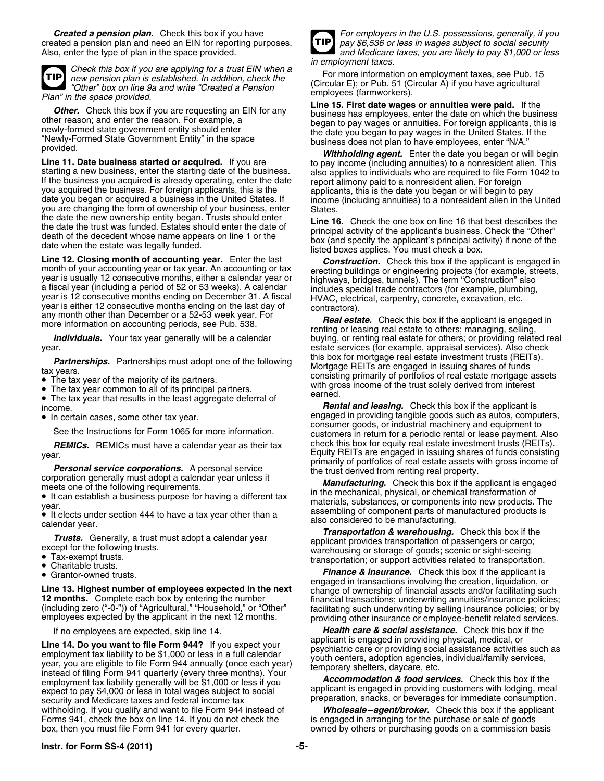*Created a pension plan.* Check this box if you have *For employers in the U.S. possessions, generally, if you* created a pension plan and need an EIN for reporting purposes. *pay \$6,536 or less in wages subject to social security*<br>Also, enter the type of plan in the space provided. Also, end Medicare taxes, you are likely to pay



*in employment taxes. Check this box if you are applying for a trust EIN when a* For more information on employment taxes, see Pub. 15 *new pension plan is established. In addition, check the* (Circular E); or Pub. 51 (Circular A) if you have agricultural *"Other" box on line 9a and write "Created a Pension*

**Line 12. Closing month of accounting year.** Enter the last<br>
month of your accounting year or tax year. An accounting or tax<br>
year is usually 12 consecutive months, either a calendar year or<br>
a fiscal year (including a per

The tax year common to all of its principal partners.

The tax year that results in the least aggregate deferral of

• In certain cases, some other tax year.

**REMICs.** REMICs must have a calendar year as their tax

**Personal service corporations.** A personal service the trust derived from renting real property.<br>
corporation generally must adopt a calendar year unless it<br> **Manufacturing.** Check this box if the applicant is engaged<br>
•

- 
- 

**Line 14. Do you want to file Form 944?** If you expect your employment tax liability to be \$1,000 or less in a full calendar year, you are eligible to file Form 944 annually (once each year) instead of filing Form 941 quar withholding. If you qualify and want to file Form 944 instead of **Wholesale–agent/broker.** Check this box if the applicant Forms 941, check the box on line 14. If you do not check the **week the ware and all all the applica** Forms 941, check the box on line 14. If you do not check the is engaged in arranging for the purchase or the purchase or the purchase or the purchase or  $\frac{1}{2}$ 



and Medicare taxes, you are likely to pay \$1,000 or less

**Plan"** in the space provided.<br> **Other.** Check this box if you are requesting an EIN for any<br>
other reason; and enter the reason. For example, a<br>
other reason; and enter the reason. For example, a<br>
"Newly-formed State gove

the date the new ownership entity began. Trusts should enter<br>
the date the trust was funded. Estates should enter the date of<br>
death of the decedent whose name appears on line 1 or the<br>
date when the estate was legally fun

Individuals. Your tax year generally will be a calendar buying, or renting real estate for others; or providing related real year.<br>Portporching must adopt one of the following this box for mortgage real estate investment trusts (REITs). **Partnerships.** Partnerships must adopt one of the following<br>tax years.<br>• The tax year of the majority of its partners.<br>• The tax year of the majority of its partners.<br>• The tax year of the majority of its partners. with gross income of the trust solely derived from interest earned.

income. *Rental and leasing.* Check this box if the applicant is In certain cases, some other tax year. engaged in providing tangible goods such as autos, computers,<br>
See the Instructions for Form 1065 for more information.<br> **REMICS.** REMICS must have a calendar year as their tax check year.<br>
year.<br>
Fractive and the state are engaged in issuing shares of funds consisting primarily of portfolios of real estate assets with gross income of

It can establish a business purpose for having a different tax<br>
year.<br>
It elects under section 444 to have a tax year other than a<br>
also considered to be manufacturing.

calendar year.<br> **Transportation & warehousing.** Check this box if the<br> **Transportation & warehousing.** Check this box if the<br>
except for the following trusts.<br>
Transportation & **Transportation & warehousing.** Check this bo ■ Tax-exempt trusts.<br>■ Charitable trusts. transportation: or support activities related to transportation.

Grantor-owned trusts. **Finance & insurance.** Check this box if the applicant is • **Finance & insurance.** Check this box if the applicant is • **Finance & insurance.** Check this box if the applicant is • **Finance & insurance** Line 13. Highest number of employees expected in the next change of ownership of financial assets and/or facilitating such<br>
12 months. Complete each box by entering the number financial transactions; underwriting annuities

If no employees are expected, skip line 14. *Health care & social assistance.* Check this box if the contract the special assistance. Check this box if the contract the special or applicant is engaged in providing physic

owned by others or purchasing goods on a commission basis